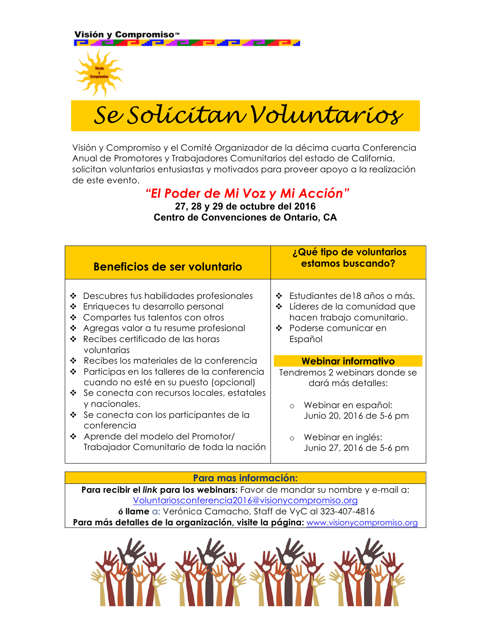Visión y Compromiso™



*Se Solicitan Voluntarios*

 

Visión y Compromiso y el Comité Organizador de la décima cuarta Conferencia Anual de Promotores y Trabajadores Comunitarios del estado de California, solicitan voluntarios entusiastas y motivados para proveer apoyo a la realización de este evento.

## *"El Poder de Mi Voz y Mi Acción"*

**27, 28 y 29 de octubre del 2016 Centro de Convenciones de Ontario, CA**

|                       | Beneficios de ser voluntario                                                                                                                                                                                 | ¿Qué tipo de voluntarios<br>estamos buscando?                                                                                                           |
|-----------------------|--------------------------------------------------------------------------------------------------------------------------------------------------------------------------------------------------------------|---------------------------------------------------------------------------------------------------------------------------------------------------------|
| ❖<br>❖<br>❖<br>❖<br>❖ | Descubres tus habilidades profesionales<br>Enriqueces tu desarrollo personal<br>Compartes tus talentos con otros<br>Agregas valor a tu resume profesional<br>Recibes certificado de las horas<br>voluntarias | Estudiantes de 18 años o más.<br>❖<br>Líderes de la comunidad que<br>❖<br>hacen trabajo comunitario.<br>Poderse comunicar en<br>$\mathbf{A}$<br>Español |
| ❖                     | Recibes los materiales de la conferencia                                                                                                                                                                     | Webinar informativo                                                                                                                                     |
| ❖                     | Participas en los talleres de la conferencia<br>cuando no esté en su puesto (opcional)<br>❖ Se conecta con recursos locales, estatales                                                                       | Tendremos 2 webinars donde se<br>dará más detalles:                                                                                                     |
|                       | y nacionales.                                                                                                                                                                                                | Webinar en español:<br>$\circ$                                                                                                                          |
|                       | $\div$ Se conecta con los participantes de la<br>conferencia                                                                                                                                                 | Junio 20, 2016 de 5-6 pm                                                                                                                                |
|                       | ❖ Aprende del modelo del Promotor/<br>Trabajador Comunitario de toda la nación                                                                                                                               | o Webinar en inglés:<br>Junio 27, 2016 de 5-6 pm                                                                                                        |

## **Para mas información:**

**Para recibir el** *link* **para los webinars:** Favor de mandar su nombre y e-mail a: Voluntariosconferencia2016@visionycompromiso.org **ó llame** a: Verónica Camacho, Staff de VyC al 323-407-4816

**Para más detalles de la organización, visite la página:** www.visionycompromiso.org